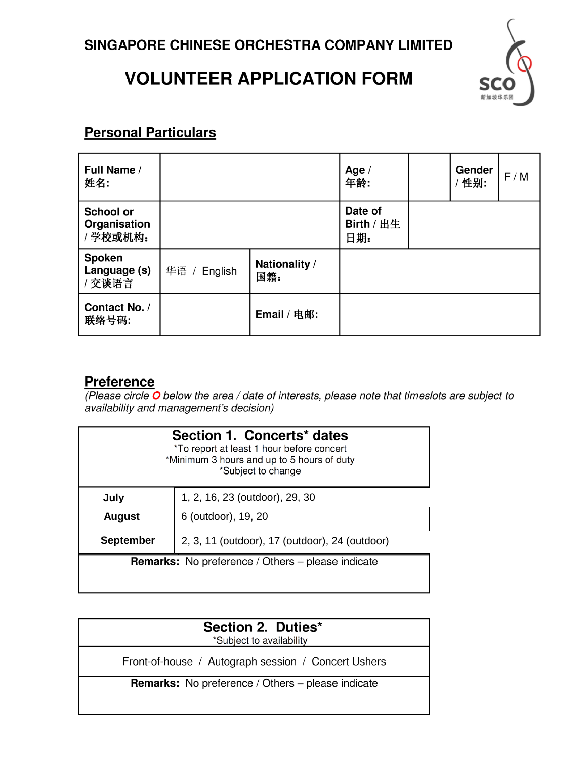## **VOLUNTEER APPLICATION FORM**



## **Personal Particulars**

| Full Name /<br>姓名:                          |              |                      | Age $/$<br>年龄:               | Gender<br>/性别: | F/M |
|---------------------------------------------|--------------|----------------------|------------------------------|----------------|-----|
| <b>School or</b><br>Organisation<br>/学校或机构: |              |                      | Date of<br>Birth / 出生<br>日期: |                |     |
| Spoken<br>Language (s)<br>/ 交谈语言            | 华语 / English | Nationality /<br>国籍: |                              |                |     |
| Contact No. /<br>联络号码:                      |              | Email / 电邮:          |                              |                |     |

## **Preference**

(Please circle  $\overline{O}$  below the area / date of interests, please note that timeslots are subject to availability and management's decision)

| Section 1. Concerts* dates<br>*To report at least 1 hour before concert<br>*Minimum 3 hours and up to 5 hours of duty<br>*Subject to change |                                                          |  |  |  |
|---------------------------------------------------------------------------------------------------------------------------------------------|----------------------------------------------------------|--|--|--|
| July                                                                                                                                        | 1, 2, 16, 23 (outdoor), 29, 30                           |  |  |  |
| <b>August</b>                                                                                                                               | 6 (outdoor), 19, 20                                      |  |  |  |
| <b>September</b>                                                                                                                            | 2, 3, 11 (outdoor), 17 (outdoor), 24 (outdoor)           |  |  |  |
|                                                                                                                                             | <b>Remarks:</b> No preference / Others – please indicate |  |  |  |
|                                                                                                                                             |                                                          |  |  |  |

| Section 2. Duties*<br>*Subject to availability           |  |
|----------------------------------------------------------|--|
| Front-of-house / Autograph session / Concert Ushers      |  |
| <b>Remarks:</b> No preference / Others – please indicate |  |